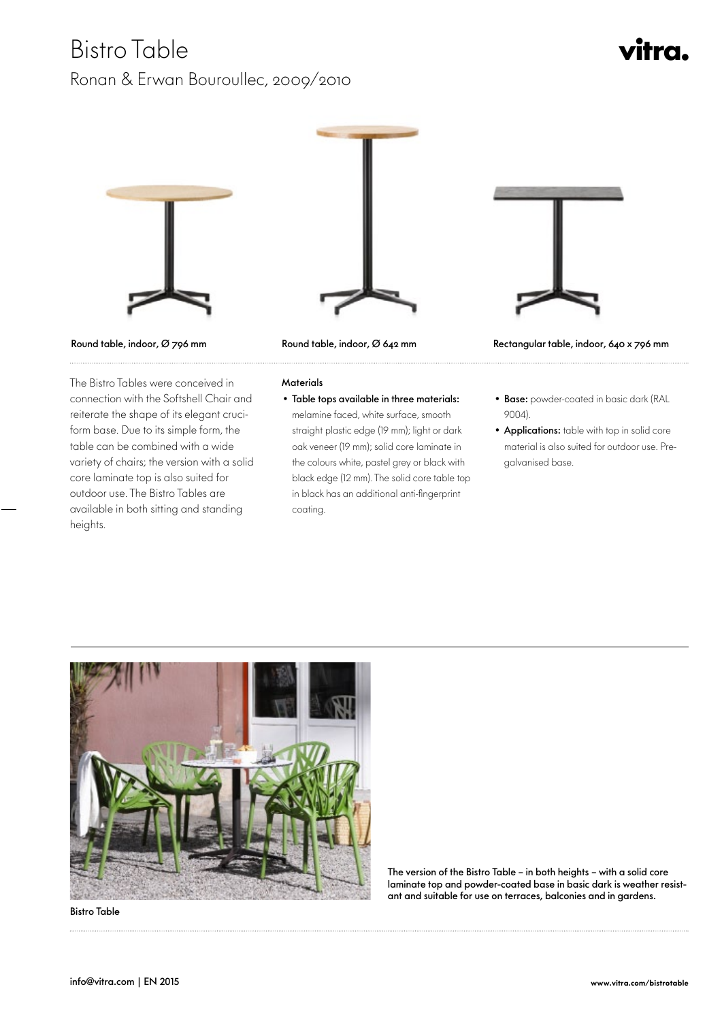## Bistro Table

### Ronan & Erwan Bouroullec, 2009/2010

# vitra.





 The Bistro Tables were conceived in connection with the Softshell Chair and reiterate the shape of its elegant cruciform base. Due to its simple form, the table can be combined with a wide variety of chairs; the version with a solid core laminate top is also suited for outdoor use. The Bistro Tables are available in both sitting and standing heights.



#### **Materials**

#### • Table tops available in three materials:

melamine faced, white surface, smooth straight plastic edge (19 mm); light or dark oak veneer (19 mm); solid core laminate in the colours white, pastel grey or black with black edge (12 mm). The solid core table top in black has an additional anti-fingerprint coating.



Round table, indoor, Ø 796 mm Round table, indoor, Ø 642 mm Rectangular table, indoor, 640 x 796 mm

- Base: powder-coated in basic dark (RAL 9004).
- Applications: table with top in solid core material is also suited for outdoor use. Pregalvanised base.



Bistro Table

The version of the Bistro Table – in both heights – with a solid core laminate top and powder-coated base in basic dark is weather resistant and suitable for use on terraces, balconies and in gardens.